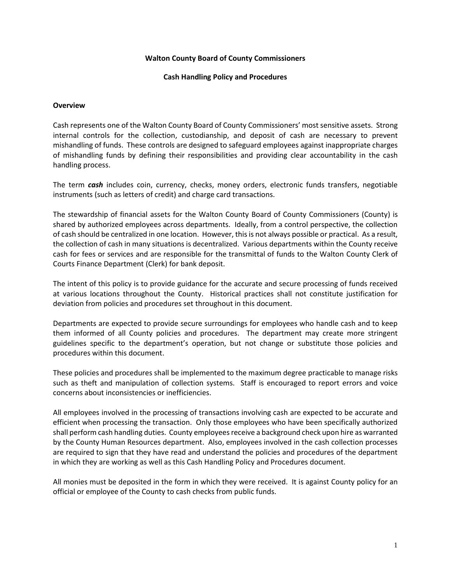#### **Walton County Board of County Commissioners**

#### **Cash Handling Policy and Procedures**

#### **Overview**

Cash represents one of the Walton County Board of County Commissioners' most sensitive assets. Strong internal controls for the collection, custodianship, and deposit of cash are necessary to prevent mishandling of funds. These controls are designed to safeguard employees against inappropriate charges of mishandling funds by defining their responsibilities and providing clear accountability in the cash handling process.

The term *cash* includes coin, currency, checks, money orders, electronic funds transfers, negotiable instruments (such as letters of credit) and charge card transactions.

The stewardship of financial assets for the Walton County Board of County Commissioners (County) is shared by authorized employees across departments. Ideally, from a control perspective, the collection of cash should be centralized in one location. However, this is not always possible or practical. As a result, the collection of cash in many situations is decentralized. Various departments within the County receive cash for fees or services and are responsible for the transmittal of funds to the Walton County Clerk of Courts Finance Department (Clerk) for bank deposit.

The intent of this policy is to provide guidance for the accurate and secure processing of funds received at various locations throughout the County. Historical practices shall not constitute justification for deviation from policies and procedures set throughout in this document.

Departments are expected to provide secure surroundings for employees who handle cash and to keep them informed of all County policies and procedures. The department may create more stringent guidelines specific to the department's operation, but not change or substitute those policies and procedures within this document.

These policies and procedures shall be implemented to the maximum degree practicable to manage risks such as theft and manipulation of collection systems. Staff is encouraged to report errors and voice concerns about inconsistencies or inefficiencies.

All employees involved in the processing of transactions involving cash are expected to be accurate and efficient when processing the transaction. Only those employees who have been specifically authorized shall perform cash handling duties. County employees receive a background check upon hire as warranted by the County Human Resources department. Also, employees involved in the cash collection processes are required to sign that they have read and understand the policies and procedures of the department in which they are working as well as this Cash Handling Policy and Procedures document.

All monies must be deposited in the form in which they were received. It is against County policy for an official or employee of the County to cash checks from public funds.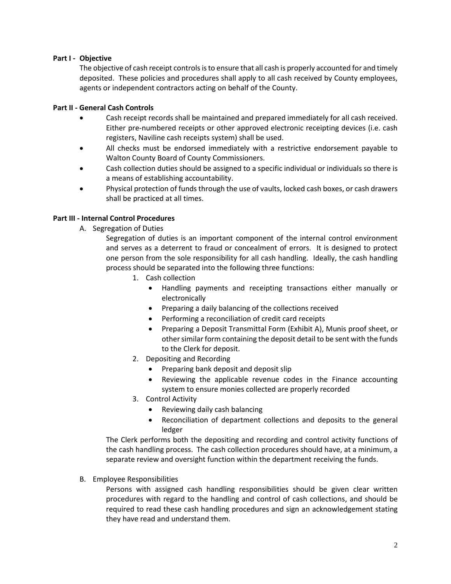# **Part I - Objective**

The objective of cash receipt controls is to ensure that all cash is properly accounted for and timely deposited. These policies and procedures shall apply to all cash received by County employees, agents or independent contractors acting on behalf of the County.

### **Part II - General Cash Controls**

- Cash receipt records shall be maintained and prepared immediately for all cash received. Either pre-numbered receipts or other approved electronic receipting devices (i.e. cash registers, Naviline cash receipts system) shall be used.
- All checks must be endorsed immediately with a restrictive endorsement payable to Walton County Board of County Commissioners.
- Cash collection duties should be assigned to a specific individual or individuals so there is a means of establishing accountability.
- Physical protection of funds through the use of vaults, locked cash boxes, or cash drawers shall be practiced at all times.

# **Part III - Internal Control Procedures**

A. Segregation of Duties

Segregation of duties is an important component of the internal control environment and serves as a deterrent to fraud or concealment of errors. It is designed to protect one person from the sole responsibility for all cash handling. Ideally, the cash handling process should be separated into the following three functions:

- 1. Cash collection
	- Handling payments and receipting transactions either manually or electronically
	- Preparing a daily balancing of the collections received
	- Performing a reconciliation of credit card receipts
	- Preparing a Deposit Transmittal Form (Exhibit A), Munis proof sheet, or other similar form containing the deposit detail to be sent with the funds to the Clerk for deposit.
- 2. Depositing and Recording
	- Preparing bank deposit and deposit slip
	- Reviewing the applicable revenue codes in the Finance accounting system to ensure monies collected are properly recorded
- 3. Control Activity
	- Reviewing daily cash balancing
	- Reconciliation of department collections and deposits to the general ledger

The Clerk performs both the depositing and recording and control activity functions of the cash handling process. The cash collection procedures should have, at a minimum, a separate review and oversight function within the department receiving the funds.

#### B. Employee Responsibilities

Persons with assigned cash handling responsibilities should be given clear written procedures with regard to the handling and control of cash collections, and should be required to read these cash handling procedures and sign an acknowledgement stating they have read and understand them.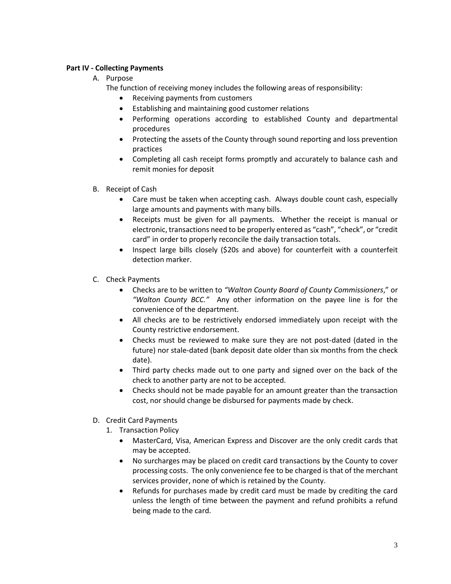# **Part IV - Collecting Payments**

# A. Purpose

The function of receiving money includes the following areas of responsibility:

- Receiving payments from customers
- Establishing and maintaining good customer relations
- Performing operations according to established County and departmental procedures
- Protecting the assets of the County through sound reporting and loss prevention practices
- Completing all cash receipt forms promptly and accurately to balance cash and remit monies for deposit
- B. Receipt of Cash
	- Care must be taken when accepting cash. Always double count cash, especially large amounts and payments with many bills.
	- Receipts must be given for all payments. Whether the receipt is manual or electronic, transactions need to be properly entered as "cash", "check", or "credit card" in order to properly reconcile the daily transaction totals.
	- Inspect large bills closely (\$20s and above) for counterfeit with a counterfeit detection marker.
- C. Check Payments
	- Checks are to be written to *"Walton County Board of County Commissioners*," or *"Walton County BCC."* Any other information on the payee line is for the convenience of the department.
	- All checks are to be restrictively endorsed immediately upon receipt with the County restrictive endorsement.
	- Checks must be reviewed to make sure they are not post-dated (dated in the future) nor stale-dated (bank deposit date older than six months from the check date).
	- Third party checks made out to one party and signed over on the back of the check to another party are not to be accepted.
	- Checks should not be made payable for an amount greater than the transaction cost, nor should change be disbursed for payments made by check.
- D. Credit Card Payments
	- 1. Transaction Policy
		- MasterCard, Visa, American Express and Discover are the only credit cards that may be accepted.
		- No surcharges may be placed on credit card transactions by the County to cover processing costs. The only convenience fee to be charged is that of the merchant services provider, none of which is retained by the County.
		- Refunds for purchases made by credit card must be made by crediting the card unless the length of time between the payment and refund prohibits a refund being made to the card.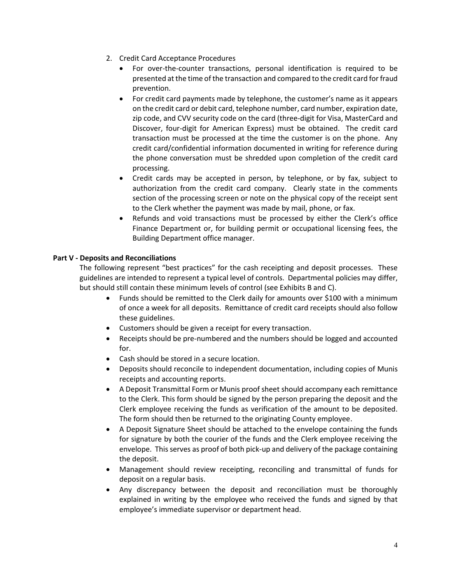- 2. Credit Card Acceptance Procedures
	- For over-the-counter transactions, personal identification is required to be presented at the time of the transaction and compared to the credit card for fraud prevention.
	- For credit card payments made by telephone, the customer's name as it appears on the credit card or debit card, telephone number, card number, expiration date, zip code, and CVV security code on the card (three-digit for Visa, MasterCard and Discover, four-digit for American Express) must be obtained. The credit card transaction must be processed at the time the customer is on the phone. Any credit card/confidential information documented in writing for reference during the phone conversation must be shredded upon completion of the credit card processing.
	- Credit cards may be accepted in person, by telephone, or by fax, subject to authorization from the credit card company. Clearly state in the comments section of the processing screen or note on the physical copy of the receipt sent to the Clerk whether the payment was made by mail, phone, or fax.
	- Refunds and void transactions must be processed by either the Clerk's office Finance Department or, for building permit or occupational licensing fees, the Building Department office manager.

# **Part V - Deposits and Reconciliations**

The following represent "best practices" for the cash receipting and deposit processes. These guidelines are intended to represent a typical level of controls. Departmental policies may differ, but should still contain these minimum levels of control (see Exhibits B and C).

- Funds should be remitted to the Clerk daily for amounts over \$100 with a minimum of once a week for all deposits. Remittance of credit card receipts should also follow these guidelines.
- Customers should be given a receipt for every transaction.
- Receipts should be pre-numbered and the numbers should be logged and accounted for.
- Cash should be stored in a secure location.
- Deposits should reconcile to independent documentation, including copies of Munis receipts and accounting reports.
- A Deposit Transmittal Form or Munis proof sheet should accompany each remittance to the Clerk. This form should be signed by the person preparing the deposit and the Clerk employee receiving the funds as verification of the amount to be deposited. The form should then be returned to the originating County employee.
- A Deposit Signature Sheet should be attached to the envelope containing the funds for signature by both the courier of the funds and the Clerk employee receiving the envelope. This serves as proof of both pick-up and delivery of the package containing the deposit.
- Management should review receipting, reconciling and transmittal of funds for deposit on a regular basis.
- Any discrepancy between the deposit and reconciliation must be thoroughly explained in writing by the employee who received the funds and signed by that employee's immediate supervisor or department head.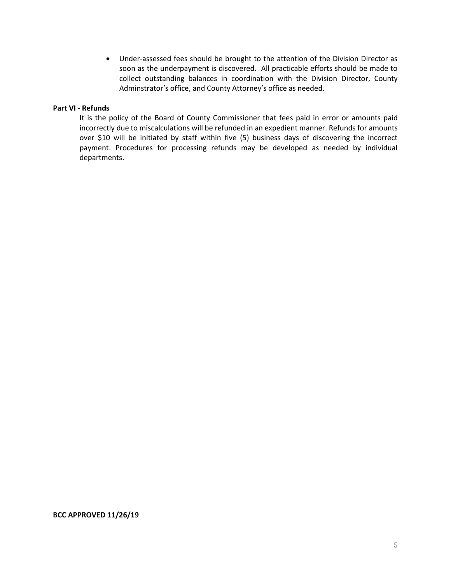• Under-assessed fees should be brought to the attention of the Division Director as soon as the underpayment is discovered. All practicable efforts should be made to collect outstanding balances in coordination with the Division Director, County Adminstrator's office, and County Attorney's office as needed.

#### **Part VI - Refunds**

It is the policy of the Board of County Commissioner that fees paid in error or amounts paid incorrectly due to miscalculations will be refunded in an expedient manner. Refunds for amounts over \$10 will be initiated by staff within five (5) business days of discovering the incorrect payment. Procedures for processing refunds may be developed as needed by individual departments.

#### **BCC APPROVED 11/26/19**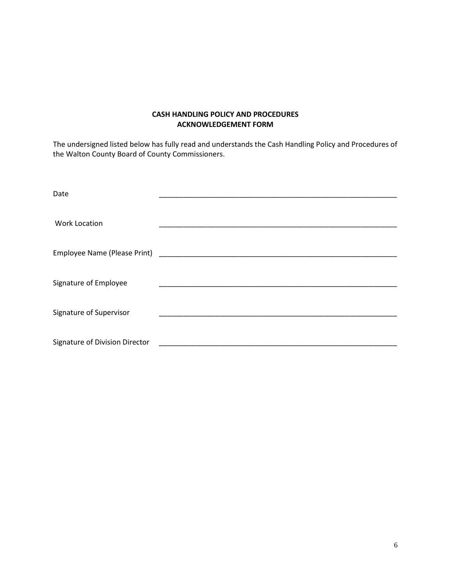# **CASH HANDLING POLICY AND PROCEDURES ACKNOWLEDGEMENT FORM**

The undersigned listed below has fully read and understands the Cash Handling Policy and Procedures of the Walton County Board of County Commissioners.

| Date                           |  |
|--------------------------------|--|
|                                |  |
| <b>Work Location</b>           |  |
|                                |  |
|                                |  |
|                                |  |
| Signature of Employee          |  |
|                                |  |
| Signature of Supervisor        |  |
|                                |  |
| Signature of Division Director |  |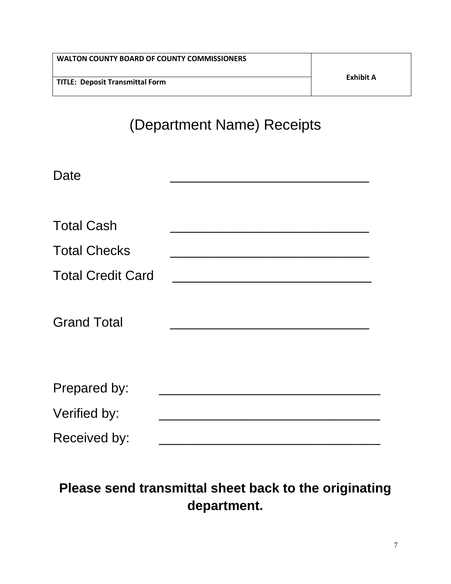| <b>WALTON COUNTY BOARD OF COUNTY COMMISSIONERS</b> |           |
|----------------------------------------------------|-----------|
| TITLE: Deposit Transmittal Form                    | Exhibit A |

# (Department Name) Receipts

| Date                     |                                     |
|--------------------------|-------------------------------------|
| <b>Total Cash</b>        |                                     |
| <b>Total Checks</b>      |                                     |
| <b>Total Credit Card</b> | <u> 1980 - Jan Barbarat, manala</u> |
| <b>Grand Total</b>       |                                     |
| Prepared by:             |                                     |
| Verified by:             |                                     |
| Received by:             |                                     |

# **Please send transmittal sheet back to the originating department.**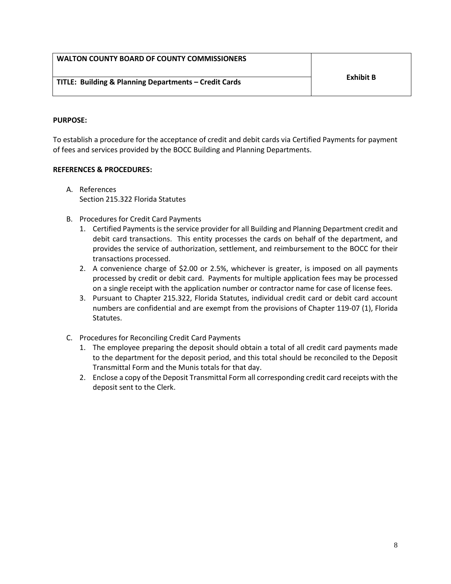|  |  |  | WALTON COUNTY BOARD OF COUNTY COMMISSIONERS |
|--|--|--|---------------------------------------------|
|--|--|--|---------------------------------------------|

#### **PURPOSE:**

To establish a procedure for the acceptance of credit and debit cards via Certified Payments for payment of fees and services provided by the BOCC Building and Planning Departments.

#### **REFERENCES & PROCEDURES:**

- A. References Section 215.322 Florida Statutes
- B. Procedures for Credit Card Payments
	- 1. Certified Payments is the service provider for all Building and Planning Department credit and debit card transactions. This entity processes the cards on behalf of the department, and provides the service of authorization, settlement, and reimbursement to the BOCC for their transactions processed.
	- 2. A convenience charge of \$2.00 or 2.5%, whichever is greater, is imposed on all payments processed by credit or debit card. Payments for multiple application fees may be processed on a single receipt with the application number or contractor name for case of license fees.
	- 3. Pursuant to Chapter 215.322, Florida Statutes, individual credit card or debit card account numbers are confidential and are exempt from the provisions of Chapter 119-07 (1), Florida Statutes.
- C. Procedures for Reconciling Credit Card Payments
	- 1. The employee preparing the deposit should obtain a total of all credit card payments made to the department for the deposit period, and this total should be reconciled to the Deposit Transmittal Form and the Munis totals for that day.
	- 2. Enclose a copy of the Deposit Transmittal Form all corresponding credit card receipts with the deposit sent to the Clerk.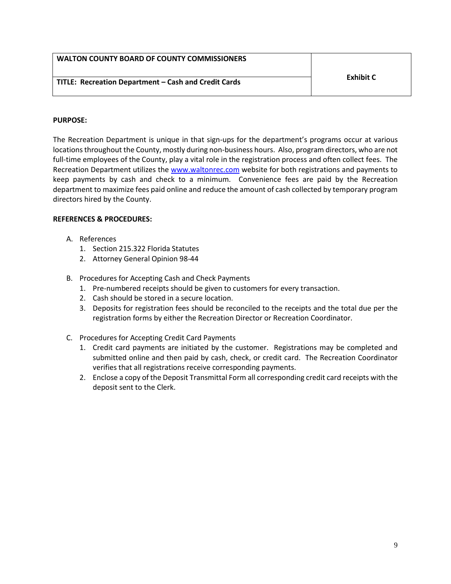| <b>WALTON COUNTY BOARD OF COUNTY COMMISSIONERS</b>   |           |
|------------------------------------------------------|-----------|
| TITLE: Recreation Department - Cash and Credit Cards | Exhibit C |

# **PURPOSE:**

The Recreation Department is unique in that sign-ups for the department's programs occur at various locations throughout the County, mostly during non-business hours. Also, program directors, who are not full-time employees of the County, play a vital role in the registration process and often collect fees. The Recreation Department utilizes the [www.waltonrec.com](http://www.waltonrec.com/) website for both registrations and payments to keep payments by cash and check to a minimum. Convenience fees are paid by the Recreation department to maximize fees paid online and reduce the amount of cash collected by temporary program directors hired by the County.

# **REFERENCES & PROCEDURES:**

- A. References
	- 1. Section 215.322 Florida Statutes
	- 2. Attorney General Opinion 98-44
- B. Procedures for Accepting Cash and Check Payments
	- 1. Pre-numbered receipts should be given to customers for every transaction.
	- 2. Cash should be stored in a secure location.
	- 3. Deposits for registration fees should be reconciled to the receipts and the total due per the registration forms by either the Recreation Director or Recreation Coordinator.
- C. Procedures for Accepting Credit Card Payments
	- 1. Credit card payments are initiated by the customer. Registrations may be completed and submitted online and then paid by cash, check, or credit card. The Recreation Coordinator verifies that all registrations receive corresponding payments.
	- 2. Enclose a copy of the Deposit Transmittal Form all corresponding credit card receipts with the deposit sent to the Clerk.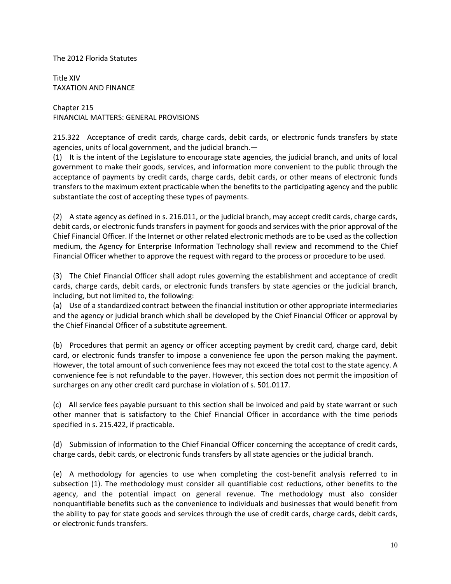#### The 2012 Florida Statutes

Title XIV TAXATION AND FINANCE

Chapter 215 FINANCIAL MATTERS: GENERAL PROVISIONS

215.322 Acceptance of credit cards, charge cards, debit cards, or electronic funds transfers by state agencies, units of local government, and the judicial branch.—

(1) It is the intent of the Legislature to encourage state agencies, the judicial branch, and units of local government to make their goods, services, and information more convenient to the public through the acceptance of payments by credit cards, charge cards, debit cards, or other means of electronic funds transfers to the maximum extent practicable when the benefits to the participating agency and the public substantiate the cost of accepting these types of payments.

(2) A state agency as defined in s. 216.011, or the judicial branch, may accept credit cards, charge cards, debit cards, or electronic funds transfers in payment for goods and services with the prior approval of the Chief Financial Officer. If the Internet or other related electronic methods are to be used as the collection medium, the Agency for Enterprise Information Technology shall review and recommend to the Chief Financial Officer whether to approve the request with regard to the process or procedure to be used.

(3) The Chief Financial Officer shall adopt rules governing the establishment and acceptance of credit cards, charge cards, debit cards, or electronic funds transfers by state agencies or the judicial branch, including, but not limited to, the following:

(a) Use of a standardized contract between the financial institution or other appropriate intermediaries and the agency or judicial branch which shall be developed by the Chief Financial Officer or approval by the Chief Financial Officer of a substitute agreement.

(b) Procedures that permit an agency or officer accepting payment by credit card, charge card, debit card, or electronic funds transfer to impose a convenience fee upon the person making the payment. However, the total amount of such convenience fees may not exceed the total cost to the state agency. A convenience fee is not refundable to the payer. However, this section does not permit the imposition of surcharges on any other credit card purchase in violation of s. 501.0117.

(c) All service fees payable pursuant to this section shall be invoiced and paid by state warrant or such other manner that is satisfactory to the Chief Financial Officer in accordance with the time periods specified in s. 215.422, if practicable.

(d) Submission of information to the Chief Financial Officer concerning the acceptance of credit cards, charge cards, debit cards, or electronic funds transfers by all state agencies or the judicial branch.

(e) A methodology for agencies to use when completing the cost-benefit analysis referred to in subsection (1). The methodology must consider all quantifiable cost reductions, other benefits to the agency, and the potential impact on general revenue. The methodology must also consider nonquantifiable benefits such as the convenience to individuals and businesses that would benefit from the ability to pay for state goods and services through the use of credit cards, charge cards, debit cards, or electronic funds transfers.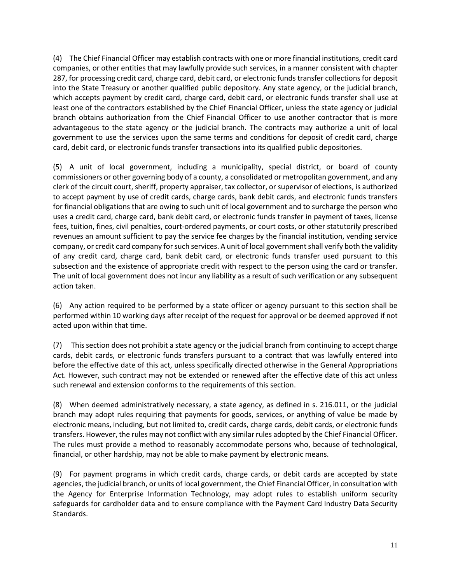(4) The Chief Financial Officer may establish contracts with one or more financial institutions, credit card companies, or other entities that may lawfully provide such services, in a manner consistent with chapter 287, for processing credit card, charge card, debit card, or electronic funds transfer collections for deposit into the State Treasury or another qualified public depository. Any state agency, or the judicial branch, which accepts payment by credit card, charge card, debit card, or electronic funds transfer shall use at least one of the contractors established by the Chief Financial Officer, unless the state agency or judicial branch obtains authorization from the Chief Financial Officer to use another contractor that is more advantageous to the state agency or the judicial branch. The contracts may authorize a unit of local government to use the services upon the same terms and conditions for deposit of credit card, charge card, debit card, or electronic funds transfer transactions into its qualified public depositories.

(5) A unit of local government, including a municipality, special district, or board of county commissioners or other governing body of a county, a consolidated or metropolitan government, and any clerk of the circuit court, sheriff, property appraiser, tax collector, or supervisor of elections, is authorized to accept payment by use of credit cards, charge cards, bank debit cards, and electronic funds transfers for financial obligations that are owing to such unit of local government and to surcharge the person who uses a credit card, charge card, bank debit card, or electronic funds transfer in payment of taxes, license fees, tuition, fines, civil penalties, court-ordered payments, or court costs, or other statutorily prescribed revenues an amount sufficient to pay the service fee charges by the financial institution, vending service company, or credit card company for such services. A unit of local government shall verify both the validity of any credit card, charge card, bank debit card, or electronic funds transfer used pursuant to this subsection and the existence of appropriate credit with respect to the person using the card or transfer. The unit of local government does not incur any liability as a result of such verification or any subsequent action taken.

(6) Any action required to be performed by a state officer or agency pursuant to this section shall be performed within 10 working days after receipt of the request for approval or be deemed approved if not acted upon within that time.

(7) This section does not prohibit a state agency or the judicial branch from continuing to accept charge cards, debit cards, or electronic funds transfers pursuant to a contract that was lawfully entered into before the effective date of this act, unless specifically directed otherwise in the General Appropriations Act. However, such contract may not be extended or renewed after the effective date of this act unless such renewal and extension conforms to the requirements of this section.

(8) When deemed administratively necessary, a state agency, as defined in s. 216.011, or the judicial branch may adopt rules requiring that payments for goods, services, or anything of value be made by electronic means, including, but not limited to, credit cards, charge cards, debit cards, or electronic funds transfers. However, the rules may not conflict with any similar rules adopted by the Chief Financial Officer. The rules must provide a method to reasonably accommodate persons who, because of technological, financial, or other hardship, may not be able to make payment by electronic means.

(9) For payment programs in which credit cards, charge cards, or debit cards are accepted by state agencies, the judicial branch, or units of local government, the Chief Financial Officer, in consultation with the Agency for Enterprise Information Technology, may adopt rules to establish uniform security safeguards for cardholder data and to ensure compliance with the Payment Card Industry Data Security Standards.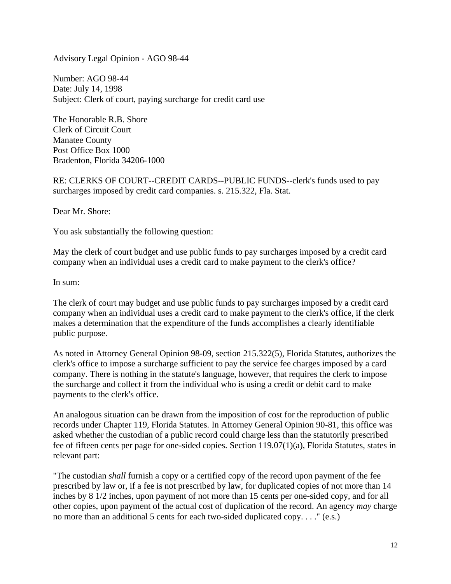Advisory Legal Opinion - AGO 98-44

Number: AGO 98-44 Date: July 14, 1998 Subject: Clerk of court, paying surcharge for credit card use

The Honorable R.B. Shore Clerk of Circuit Court Manatee County Post Office Box 1000 Bradenton, Florida 34206-1000

RE: CLERKS OF COURT--CREDIT CARDS--PUBLIC FUNDS--clerk's funds used to pay surcharges imposed by credit card companies. s. 215.322, Fla. Stat.

Dear Mr. Shore:

You ask substantially the following question:

May the clerk of court budget and use public funds to pay surcharges imposed by a credit card company when an individual uses a credit card to make payment to the clerk's office?

In sum:

The clerk of court may budget and use public funds to pay surcharges imposed by a credit card company when an individual uses a credit card to make payment to the clerk's office, if the clerk makes a determination that the expenditure of the funds accomplishes a clearly identifiable public purpose.

As noted in Attorney General Opinion 98-09, section 215.322(5), Florida Statutes, authorizes the clerk's office to impose a surcharge sufficient to pay the service fee charges imposed by a card company. There is nothing in the statute's language, however, that requires the clerk to impose the surcharge and collect it from the individual who is using a credit or debit card to make payments to the clerk's office.

An analogous situation can be drawn from the imposition of cost for the reproduction of public records under Chapter 119, Florida Statutes. In Attorney General Opinion 90-81, this office was asked whether the custodian of a public record could charge less than the statutorily prescribed fee of fifteen cents per page for one-sided copies. Section 119.07(1)(a), Florida Statutes, states in relevant part:

"The custodian *shall* furnish a copy or a certified copy of the record upon payment of the fee prescribed by law or, if a fee is not prescribed by law, for duplicated copies of not more than 14 inches by 8 1/2 inches, upon payment of not more than 15 cents per one-sided copy, and for all other copies, upon payment of the actual cost of duplication of the record. An agency *may* charge no more than an additional 5 cents for each two-sided duplicated copy. . . ." (e.s.)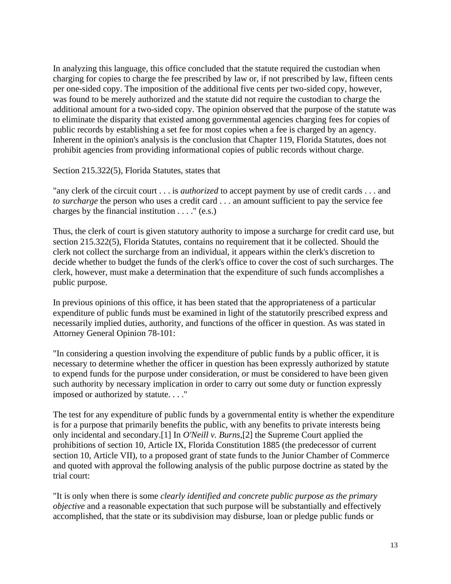In analyzing this language, this office concluded that the statute required the custodian when charging for copies to charge the fee prescribed by law or, if not prescribed by law, fifteen cents per one-sided copy. The imposition of the additional five cents per two-sided copy, however, was found to be merely authorized and the statute did not require the custodian to charge the additional amount for a two-sided copy. The opinion observed that the purpose of the statute was to eliminate the disparity that existed among governmental agencies charging fees for copies of public records by establishing a set fee for most copies when a fee is charged by an agency. Inherent in the opinion's analysis is the conclusion that Chapter 119, Florida Statutes, does not prohibit agencies from providing informational copies of public records without charge.

Section 215.322(5), Florida Statutes, states that

"any clerk of the circuit court . . . is *authorized* to accept payment by use of credit cards . . . and *to surcharge* the person who uses a credit card . . . an amount sufficient to pay the service fee charges by the financial institution  $\dots$ ." (e.s.)

Thus, the clerk of court is given statutory authority to impose a surcharge for credit card use, but section 215.322(5), Florida Statutes, contains no requirement that it be collected. Should the clerk not collect the surcharge from an individual, it appears within the clerk's discretion to decide whether to budget the funds of the clerk's office to cover the cost of such surcharges. The clerk, however, must make a determination that the expenditure of such funds accomplishes a public purpose.

In previous opinions of this office, it has been stated that the appropriateness of a particular expenditure of public funds must be examined in light of the statutorily prescribed express and necessarily implied duties, authority, and functions of the officer in question. As was stated in Attorney General Opinion 78-101:

"In considering a question involving the expenditure of public funds by a public officer, it is necessary to determine whether the officer in question has been expressly authorized by statute to expend funds for the purpose under consideration, or must be considered to have been given such authority by necessary implication in order to carry out some duty or function expressly imposed or authorized by statute. . . ."

The test for any expenditure of public funds by a governmental entity is whether the expenditure is for a purpose that primarily benefits the public, with any benefits to private interests being only incidental and secondary.[1] In *O'Neill v. Burns*,[2] the Supreme Court applied the prohibitions of section 10, Article IX, Florida Constitution 1885 (the predecessor of current section 10, Article VII), to a proposed grant of state funds to the Junior Chamber of Commerce and quoted with approval the following analysis of the public purpose doctrine as stated by the trial court:

"It is only when there is some *clearly identified and concrete public purpose as the primary objective* and a reasonable expectation that such purpose will be substantially and effectively accomplished, that the state or its subdivision may disburse, loan or pledge public funds or